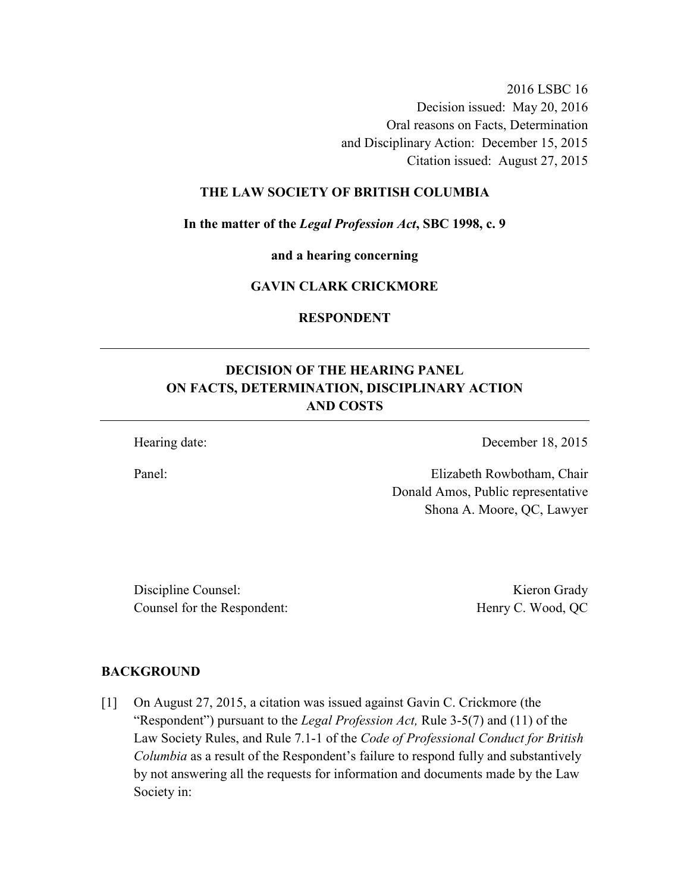2016 LSBC 16 Decision issued: May 20, 2016 Oral reasons on Facts, Determination and Disciplinary Action: December 15, 2015 Citation issued: August 27, 2015

#### **THE LAW SOCIETY OF BRITISH COLUMBIA**

**In the matter of the** *Legal Profession Act***, SBC 1998, c. 9** 

**and a hearing concerning** 

## **GAVIN CLARK CRICKMORE**

**RESPONDENT** 

# **DECISION OF THE HEARING PANEL ON FACTS, DETERMINATION, DISCIPLINARY ACTION AND COSTS**

Hearing date: December 18, 2015

Panel: Elizabeth Rowbotham, Chair Donald Amos, Public representative Shona A. Moore, QC, Lawyer

Discipline Counsel: Kieron Grady Counsel for the Respondent: Henry C. Wood, QC

#### **BACKGROUND**

[1] On August 27, 2015, a citation was issued against Gavin C. Crickmore (the "Respondent") pursuant to the *Legal Profession Act,* Rule 3-5(7) and (11) of the Law Society Rules, and Rule 7.1-1 of the *Code of Professional Conduct for British Columbia* as a result of the Respondent's failure to respond fully and substantively by not answering all the requests for information and documents made by the Law Society in: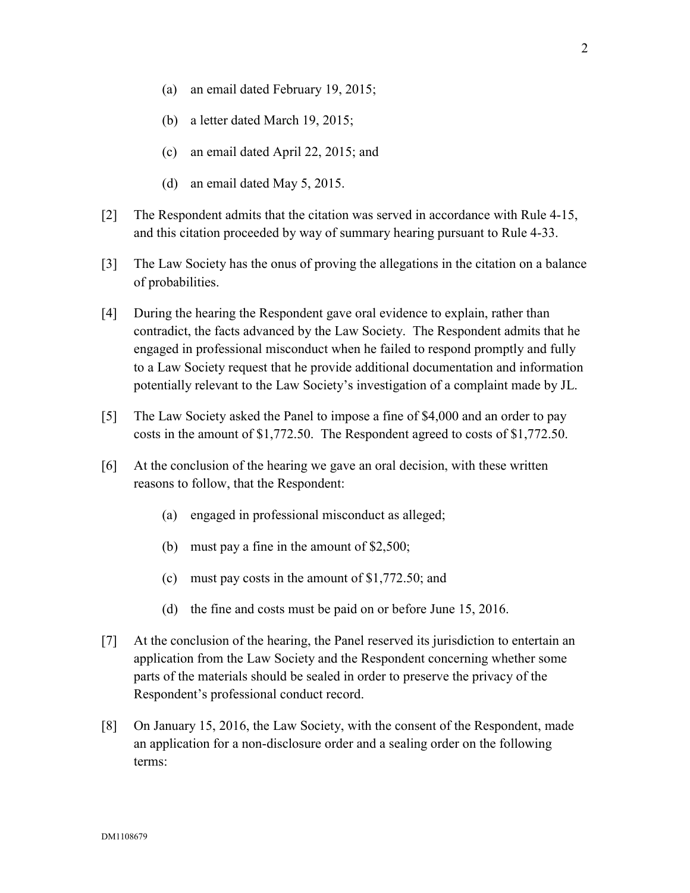- (a) an email dated February 19, 2015;
- (b) a letter dated March 19, 2015;
- (c) an email dated April 22, 2015; and
- (d) an email dated May 5, 2015.
- [2] The Respondent admits that the citation was served in accordance with Rule 4-15, and this citation proceeded by way of summary hearing pursuant to Rule 4-33.
- [3] The Law Society has the onus of proving the allegations in the citation on a balance of probabilities.
- [4] During the hearing the Respondent gave oral evidence to explain, rather than contradict, the facts advanced by the Law Society. The Respondent admits that he engaged in professional misconduct when he failed to respond promptly and fully to a Law Society request that he provide additional documentation and information potentially relevant to the Law Society's investigation of a complaint made by JL.
- [5] The Law Society asked the Panel to impose a fine of \$4,000 and an order to pay costs in the amount of \$1,772.50. The Respondent agreed to costs of \$1,772.50.
- [6] At the conclusion of the hearing we gave an oral decision, with these written reasons to follow, that the Respondent:
	- (a) engaged in professional misconduct as alleged;
	- (b) must pay a fine in the amount of \$2,500;
	- (c) must pay costs in the amount of \$1,772.50; and
	- (d) the fine and costs must be paid on or before June 15, 2016.
- [7] At the conclusion of the hearing, the Panel reserved its jurisdiction to entertain an application from the Law Society and the Respondent concerning whether some parts of the materials should be sealed in order to preserve the privacy of the Respondent's professional conduct record.
- [8] On January 15, 2016, the Law Society, with the consent of the Respondent, made an application for a non-disclosure order and a sealing order on the following terms: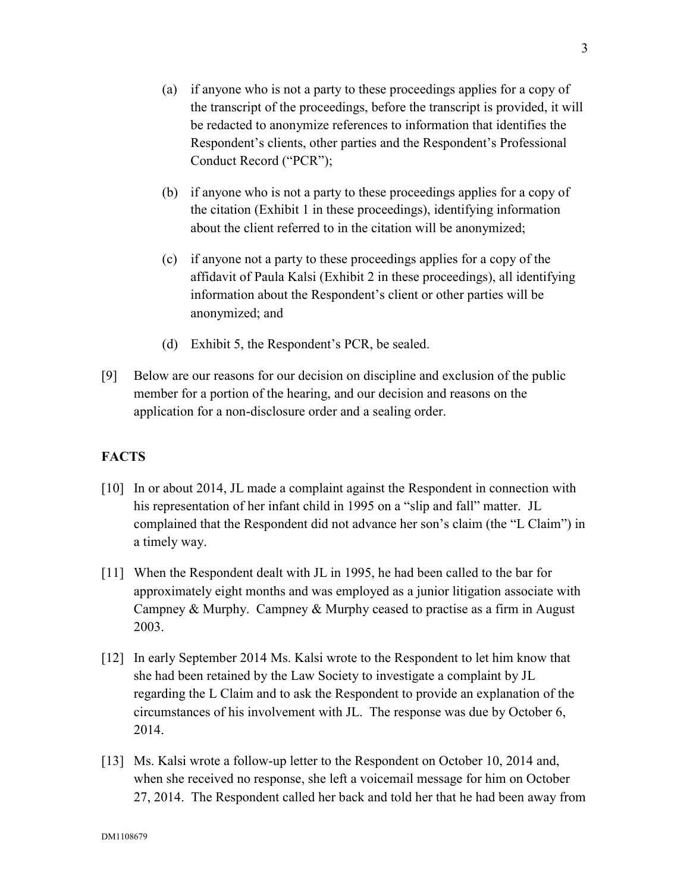- (a) if anyone who is not a party to these proceedings applies for a copy of the transcript of the proceedings, before the transcript is provided, it will be redacted to anonymize references to information that identifies the Respondent's clients, other parties and the Respondent's Professional Conduct Record ("PCR");
- (b) if anyone who is not a party to these proceedings applies for a copy of the citation (Exhibit 1 in these proceedings), identifying information about the client referred to in the citation will be anonymized;
- (c) if anyone not a party to these proceedings applies for a copy of the affidavit of Paula Kalsi (Exhibit 2 in these proceedings), all identifying information about the Respondent's client or other parties will be anonymized; and
- (d) Exhibit 5, the Respondent's PCR, be sealed.
- [9] Below are our reasons for our decision on discipline and exclusion of the public member for a portion of the hearing, and our decision and reasons on the application for a non-disclosure order and a sealing order.

#### **FACTS**

- [10] In or about 2014, JL made a complaint against the Respondent in connection with his representation of her infant child in 1995 on a "slip and fall" matter. JL complained that the Respondent did not advance her son's claim (the "L Claim") in a timely way.
- [11] When the Respondent dealt with JL in 1995, he had been called to the bar for approximately eight months and was employed as a junior litigation associate with Campney & Murphy. Campney & Murphy ceased to practise as a firm in August 2003.
- [12] In early September 2014 Ms. Kalsi wrote to the Respondent to let him know that she had been retained by the Law Society to investigate a complaint by JL regarding the L Claim and to ask the Respondent to provide an explanation of the circumstances of his involvement with JL. The response was due by October 6, 2014.
- [13] Ms. Kalsi wrote a follow-up letter to the Respondent on October 10, 2014 and, when she received no response, she left a voicemail message for him on October 27, 2014. The Respondent called her back and told her that he had been away from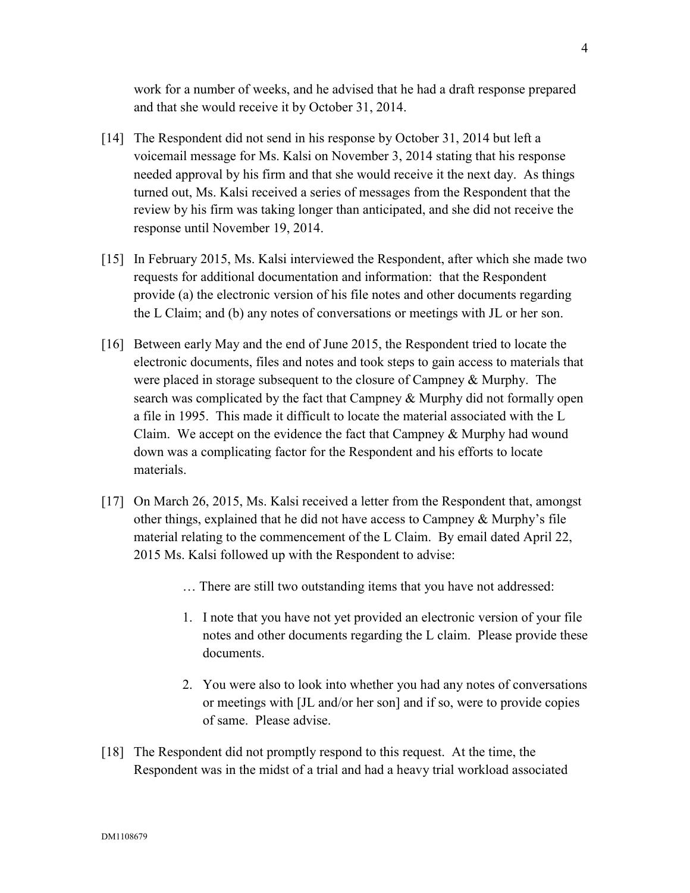work for a number of weeks, and he advised that he had a draft response prepared and that she would receive it by October 31, 2014.

- [14] The Respondent did not send in his response by October 31, 2014 but left a voicemail message for Ms. Kalsi on November 3, 2014 stating that his response needed approval by his firm and that she would receive it the next day. As things turned out, Ms. Kalsi received a series of messages from the Respondent that the review by his firm was taking longer than anticipated, and she did not receive the response until November 19, 2014.
- [15] In February 2015, Ms. Kalsi interviewed the Respondent, after which she made two requests for additional documentation and information: that the Respondent provide (a) the electronic version of his file notes and other documents regarding the L Claim; and (b) any notes of conversations or meetings with JL or her son.
- [16] Between early May and the end of June 2015, the Respondent tried to locate the electronic documents, files and notes and took steps to gain access to materials that were placed in storage subsequent to the closure of Campney & Murphy. The search was complicated by the fact that Campney & Murphy did not formally open a file in 1995. This made it difficult to locate the material associated with the L Claim. We accept on the evidence the fact that Campney & Murphy had wound down was a complicating factor for the Respondent and his efforts to locate materials.
- [17] On March 26, 2015, Ms. Kalsi received a letter from the Respondent that, amongst other things, explained that he did not have access to Campney & Murphy's file material relating to the commencement of the L Claim. By email dated April 22, 2015 Ms. Kalsi followed up with the Respondent to advise:
	- … There are still two outstanding items that you have not addressed:
	- 1. I note that you have not yet provided an electronic version of your file notes and other documents regarding the L claim. Please provide these documents.
	- 2. You were also to look into whether you had any notes of conversations or meetings with [JL and/or her son] and if so, were to provide copies of same. Please advise.
- [18] The Respondent did not promptly respond to this request. At the time, the Respondent was in the midst of a trial and had a heavy trial workload associated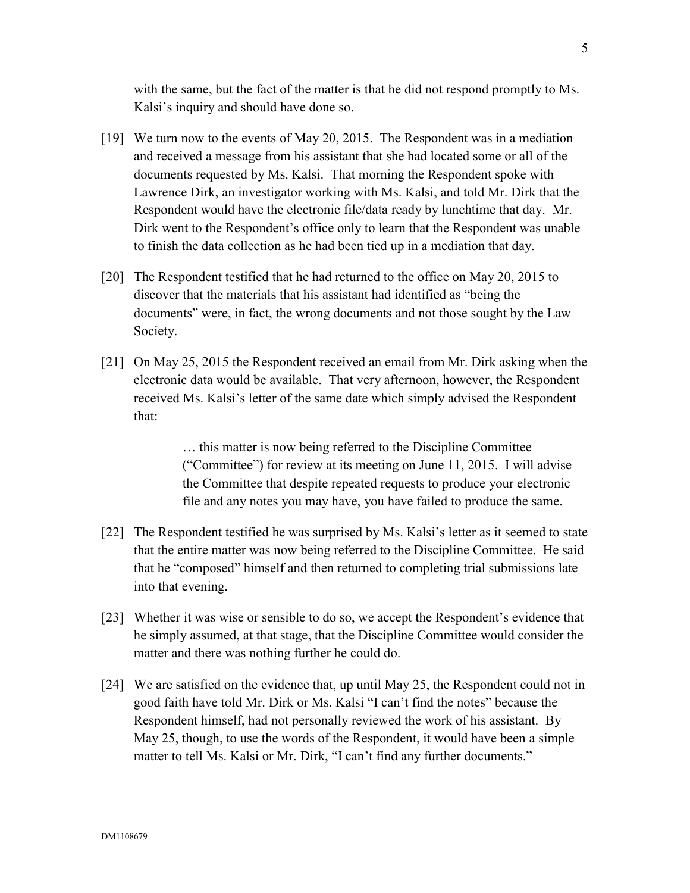with the same, but the fact of the matter is that he did not respond promptly to Ms. Kalsi's inquiry and should have done so.

- [19] We turn now to the events of May 20, 2015. The Respondent was in a mediation and received a message from his assistant that she had located some or all of the documents requested by Ms. Kalsi. That morning the Respondent spoke with Lawrence Dirk, an investigator working with Ms. Kalsi, and told Mr. Dirk that the Respondent would have the electronic file/data ready by lunchtime that day. Mr. Dirk went to the Respondent's office only to learn that the Respondent was unable to finish the data collection as he had been tied up in a mediation that day.
- [20] The Respondent testified that he had returned to the office on May 20, 2015 to discover that the materials that his assistant had identified as "being the documents" were, in fact, the wrong documents and not those sought by the Law Society.
- [21] On May 25, 2015 the Respondent received an email from Mr. Dirk asking when the electronic data would be available. That very afternoon, however, the Respondent received Ms. Kalsi's letter of the same date which simply advised the Respondent that:

… this matter is now being referred to the Discipline Committee ("Committee") for review at its meeting on June 11, 2015. I will advise the Committee that despite repeated requests to produce your electronic file and any notes you may have, you have failed to produce the same.

- [22] The Respondent testified he was surprised by Ms. Kalsi's letter as it seemed to state that the entire matter was now being referred to the Discipline Committee. He said that he "composed" himself and then returned to completing trial submissions late into that evening.
- [23] Whether it was wise or sensible to do so, we accept the Respondent's evidence that he simply assumed, at that stage, that the Discipline Committee would consider the matter and there was nothing further he could do.
- [24] We are satisfied on the evidence that, up until May 25, the Respondent could not in good faith have told Mr. Dirk or Ms. Kalsi "I can't find the notes" because the Respondent himself, had not personally reviewed the work of his assistant. By May 25, though, to use the words of the Respondent, it would have been a simple matter to tell Ms. Kalsi or Mr. Dirk, "I can't find any further documents."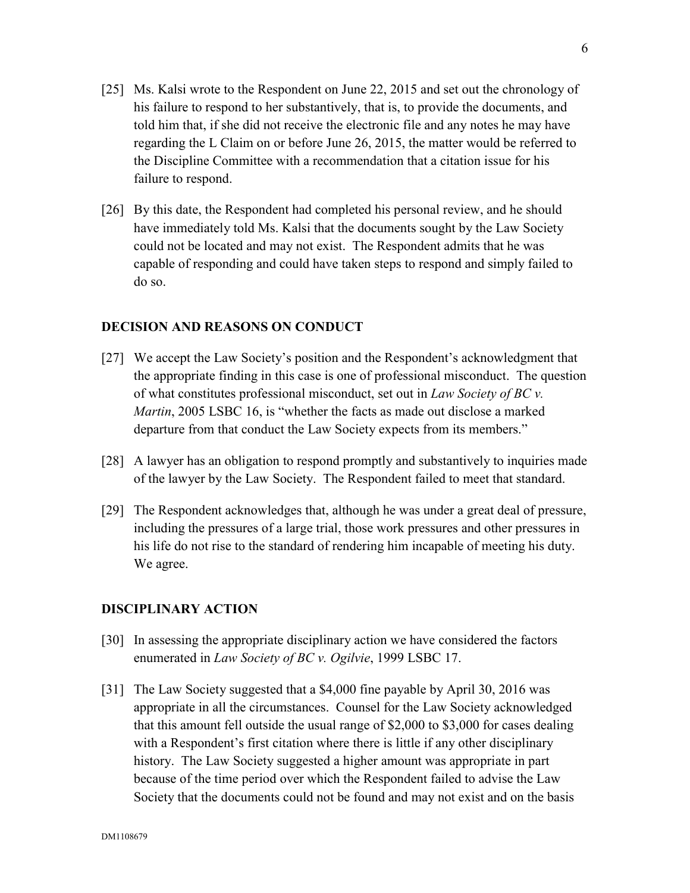- [25] Ms. Kalsi wrote to the Respondent on June 22, 2015 and set out the chronology of his failure to respond to her substantively, that is, to provide the documents, and told him that, if she did not receive the electronic file and any notes he may have regarding the L Claim on or before June 26, 2015, the matter would be referred to the Discipline Committee with a recommendation that a citation issue for his failure to respond.
- [26] By this date, the Respondent had completed his personal review, and he should have immediately told Ms. Kalsi that the documents sought by the Law Society could not be located and may not exist. The Respondent admits that he was capable of responding and could have taken steps to respond and simply failed to do so.

#### **DECISION AND REASONS ON CONDUCT**

- [27] We accept the Law Society's position and the Respondent's acknowledgment that the appropriate finding in this case is one of professional misconduct. The question of what constitutes professional misconduct, set out in *Law Society of BC v. Martin*, 2005 LSBC 16, is "whether the facts as made out disclose a marked departure from that conduct the Law Society expects from its members."
- [28] A lawyer has an obligation to respond promptly and substantively to inquiries made of the lawyer by the Law Society. The Respondent failed to meet that standard.
- [29] The Respondent acknowledges that, although he was under a great deal of pressure, including the pressures of a large trial, those work pressures and other pressures in his life do not rise to the standard of rendering him incapable of meeting his duty. We agree.

## **DISCIPLINARY ACTION**

- [30] In assessing the appropriate disciplinary action we have considered the factors enumerated in *Law Society of BC v. Ogilvie*, 1999 LSBC 17.
- [31] The Law Society suggested that a \$4,000 fine payable by April 30, 2016 was appropriate in all the circumstances. Counsel for the Law Society acknowledged that this amount fell outside the usual range of \$2,000 to \$3,000 for cases dealing with a Respondent's first citation where there is little if any other disciplinary history. The Law Society suggested a higher amount was appropriate in part because of the time period over which the Respondent failed to advise the Law Society that the documents could not be found and may not exist and on the basis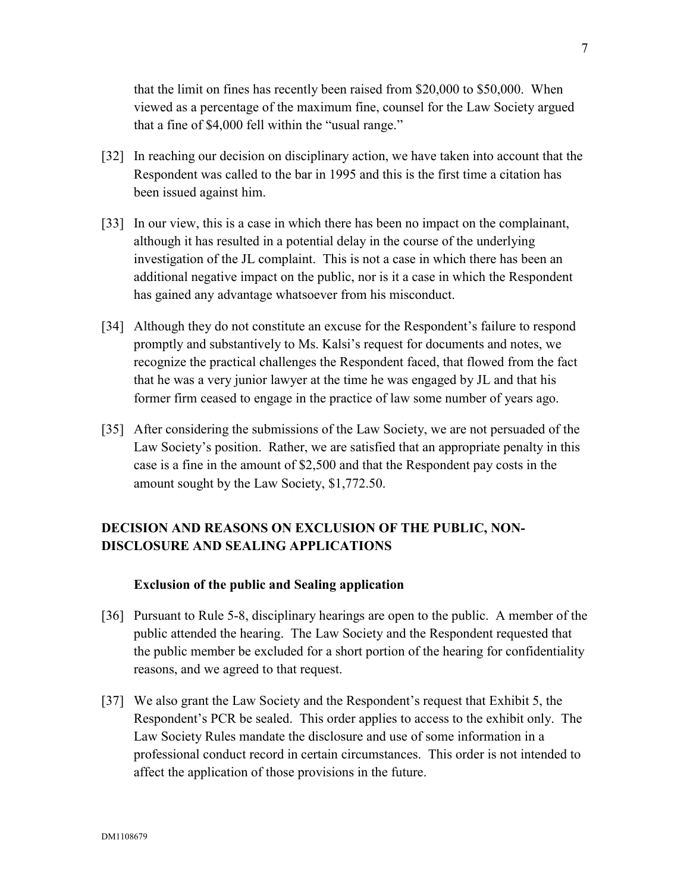that the limit on fines has recently been raised from \$20,000 to \$50,000. When viewed as a percentage of the maximum fine, counsel for the Law Society argued that a fine of \$4,000 fell within the "usual range."

- [32] In reaching our decision on disciplinary action, we have taken into account that the Respondent was called to the bar in 1995 and this is the first time a citation has been issued against him.
- [33] In our view, this is a case in which there has been no impact on the complainant, although it has resulted in a potential delay in the course of the underlying investigation of the JL complaint. This is not a case in which there has been an additional negative impact on the public, nor is it a case in which the Respondent has gained any advantage whatsoever from his misconduct.
- [34] Although they do not constitute an excuse for the Respondent's failure to respond promptly and substantively to Ms. Kalsi's request for documents and notes, we recognize the practical challenges the Respondent faced, that flowed from the fact that he was a very junior lawyer at the time he was engaged by JL and that his former firm ceased to engage in the practice of law some number of years ago.
- [35] After considering the submissions of the Law Society, we are not persuaded of the Law Society's position. Rather, we are satisfied that an appropriate penalty in this case is a fine in the amount of \$2,500 and that the Respondent pay costs in the amount sought by the Law Society, \$1,772.50.

# **DECISION AND REASONS ON EXCLUSION OF THE PUBLIC, NON-DISCLOSURE AND SEALING APPLICATIONS**

## **Exclusion of the public and Sealing application**

- [36] Pursuant to Rule 5-8, disciplinary hearings are open to the public. A member of the public attended the hearing. The Law Society and the Respondent requested that the public member be excluded for a short portion of the hearing for confidentiality reasons, and we agreed to that request.
- [37] We also grant the Law Society and the Respondent's request that Exhibit 5, the Respondent's PCR be sealed. This order applies to access to the exhibit only. The Law Society Rules mandate the disclosure and use of some information in a professional conduct record in certain circumstances. This order is not intended to affect the application of those provisions in the future.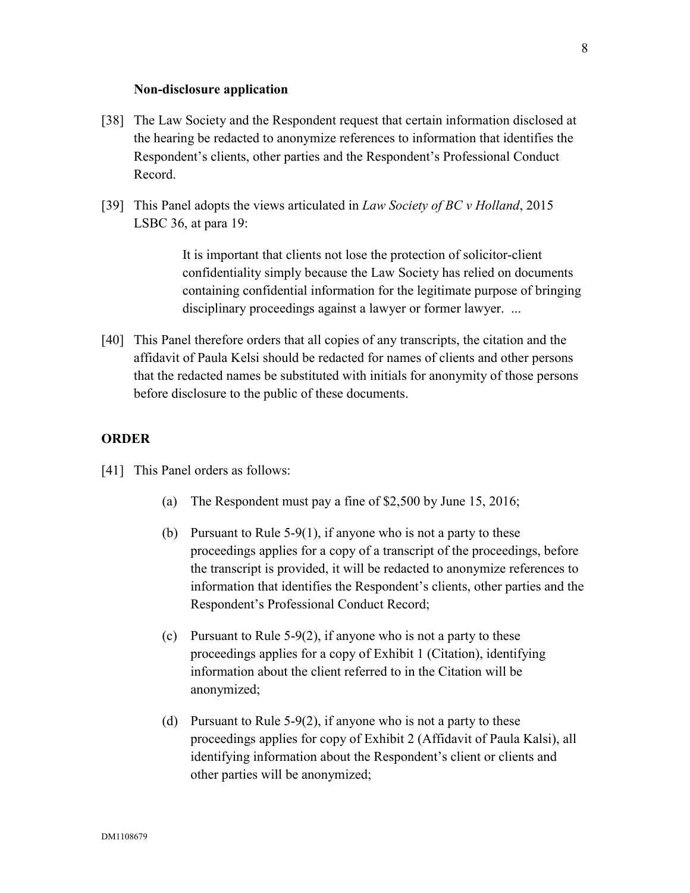#### **Non-disclosure application**

- [38] The Law Society and the Respondent request that certain information disclosed at the hearing be redacted to anonymize references to information that identifies the Respondent's clients, other parties and the Respondent's Professional Conduct Record.
- [39] This Panel adopts the views articulated in *Law Society of BC v Holland*, 2015 LSBC 36, at para 19:

It is important that clients not lose the protection of solicitor-client confidentiality simply because the Law Society has relied on documents containing confidential information for the legitimate purpose of bringing disciplinary proceedings against a lawyer or former lawyer. ...

[40] This Panel therefore orders that all copies of any transcripts, the citation and the affidavit of Paula Kelsi should be redacted for names of clients and other persons that the redacted names be substituted with initials for anonymity of those persons before disclosure to the public of these documents.

#### **ORDER**

- [41] This Panel orders as follows:
	- (a) The Respondent must pay a fine of \$2,500 by June 15, 2016;
	- (b) Pursuant to Rule 5-9(1), if anyone who is not a party to these proceedings applies for a copy of a transcript of the proceedings, before the transcript is provided, it will be redacted to anonymize references to information that identifies the Respondent's clients, other parties and the Respondent's Professional Conduct Record;
	- (c) Pursuant to Rule 5-9(2), if anyone who is not a party to these proceedings applies for a copy of Exhibit 1 (Citation), identifying information about the client referred to in the Citation will be anonymized;
	- (d) Pursuant to Rule 5-9(2), if anyone who is not a party to these proceedings applies for copy of Exhibit 2 (Affidavit of Paula Kalsi), all identifying information about the Respondent's client or clients and other parties will be anonymized;